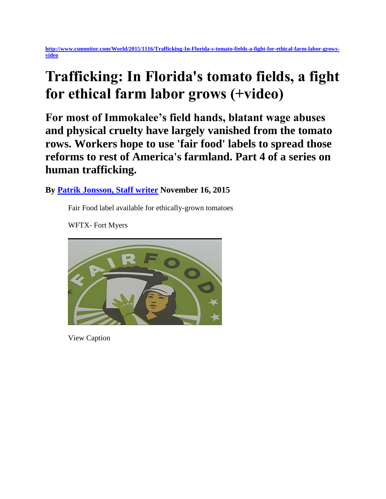**[http://www.csmonitor.com/World/2015/1116/Trafficking-In-Florida-s-tomato-fields-a-fight-for-ethical-farm-labor-grows](http://www.csmonitor.com/World/2015/1116/Trafficking-In-Florida-s-tomato-fields-a-fight-for-ethical-farm-labor-grows-video)[video](http://www.csmonitor.com/World/2015/1116/Trafficking-In-Florida-s-tomato-fields-a-fight-for-ethical-farm-labor-grows-video)**

# **Trafficking: In Florida's tomato fields, a fight for ethical farm labor grows (+video)**

**For most of Immokalee's field hands, blatant wage abuses and physical cruelty have largely vanished from the tomato rows. Workers hope to use 'fair food' labels to spread those reforms to rest of America's farmland. Part 4 of a series on human trafficking.**

**By [Patrik Jonsson, Staff writer](http://www.csmonitor.com/World/2015/1116/Trafficking-In-Florida-s-tomato-fields-a-fight-for-ethical-farm-labor-grows-video) November 16, 2015** 

Fair Food label available for ethically-grown tomatoes

WFTX- Fort Myers



View Caption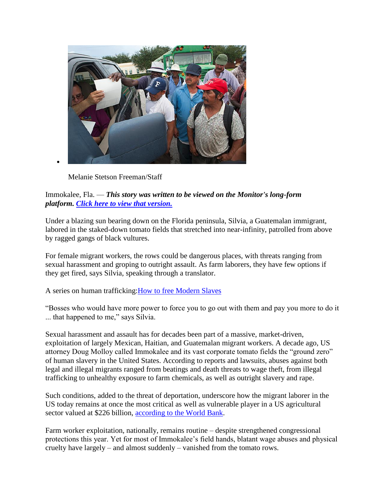

Melanie Stetson Freeman/Staff

#### Immokalee, Fla. — *This story was written to be viewed on the Monitor's long-form platform. [Click here to view that version.](http://humantrafficking.csmonitor.com/fight-for-fair-food-labels)*

Under a blazing sun bearing down on the Florida peninsula, Silvia, a Guatemalan immigrant, labored in the staked-down tomato fields that stretched into near-infinity, patrolled from above by ragged gangs of black vultures.

For female migrant workers, the rows could be dangerous places, with threats ranging from sexual harassment and groping to outright assault. As farm laborers, they have few options if they get fired, says Silvia, speaking through a translator.

A series on human trafficking[:How to free Modern Slaves](http://www.csmonitor.com/World/Topics/Human-Trafficking-Series)

"Bosses who would have more power to force you to go out with them and pay you more to do it ... that happened to me," says Silvia.

Sexual harassment and assault has for decades been part of a massive, market-driven, exploitation of largely Mexican, Haitian, and Guatemalan migrant workers. A decade ago, US attorney Doug Molloy called Immokalee and its vast corporate tomato fields the "ground zero" of human slavery in the United States. According to reports and lawsuits, abuses against both legal and illegal migrants ranged from beatings and death threats to wage theft, from illegal trafficking to unhealthy exposure to farm chemicals, as well as outright slavery and rape.

Such conditions, added to the threat of deportation, underscore how the migrant laborer in the US today remains at once the most critical as well as vulnerable player in a US agricultural sector valued at \$226 billion, [according to the World Bank.](http://data.worldbank.org/indicator/NV.AGR.TOTL.CD)

Farm worker exploitation, nationally, remains routine – despite strengthened congressional protections this year. Yet for most of Immokalee's field hands, blatant wage abuses and physical cruelty have largely – and almost suddenly – vanished from the tomato rows.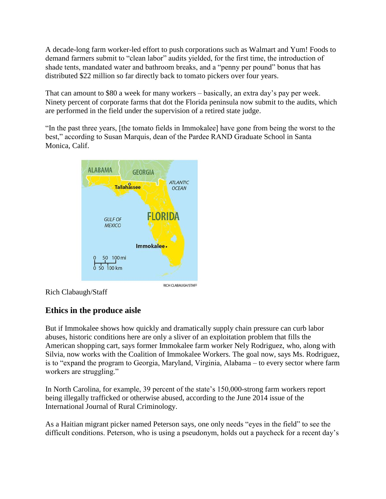A decade-long farm worker-led effort to push corporations such as Walmart and Yum! Foods to demand farmers submit to "clean labor" audits yielded, for the first time, the introduction of shade tents, mandated water and bathroom breaks, and a "penny per pound" bonus that has distributed \$22 million so far directly back to tomato pickers over four years.

That can amount to \$80 a week for many workers – basically, an extra day's pay per week. Ninety percent of corporate farms that dot the Florida peninsula now submit to the audits, which are performed in the field under the supervision of a retired state judge.

"In the past three years, [the tomato fields in Immokalee] have gone from being the worst to the best," according to Susan Marquis, dean of the Pardee RAND Graduate School in Santa Monica, Calif.



Rich Clabaugh/Staff

## **Ethics in the produce aisle**

But if Immokalee shows how quickly and dramatically supply chain pressure can curb labor abuses, historic conditions here are only a sliver of an exploitation problem that fills the American shopping cart, says former Immokalee farm worker Nely Rodriguez, who, along with Silvia, now works with the Coalition of Immokalee Workers. The goal now, says Ms. Rodriguez, is to "expand the program to Georgia, Maryland, Virginia, Alabama – to every sector where farm workers are struggling."

In North Carolina, for example, 39 percent of the state's 150,000-strong farm workers report being illegally trafficked or otherwise abused, according to the June 2014 issue of the International Journal of Rural Criminology.

As a Haitian migrant picker named Peterson says, one only needs "eyes in the field" to see the difficult conditions. Peterson, who is using a pseudonym, holds out a paycheck for a recent day's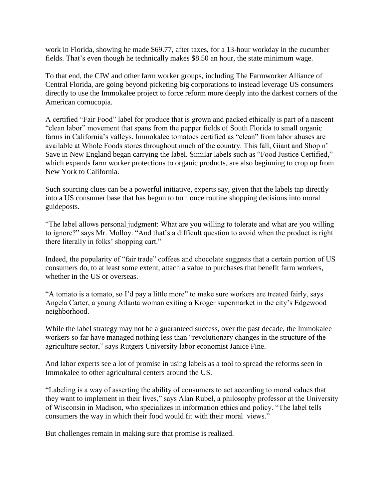work in Florida, showing he made \$69.77, after taxes, for a 13-hour workday in the cucumber fields. That's even though he technically makes \$8.50 an hour, the state minimum wage.

To that end, the CIW and other farm worker groups, including The Farmworker Alliance of Central Florida, are going beyond picketing big corporations to instead leverage US consumers directly to use the Immokalee project to force reform more deeply into the darkest corners of the American cornucopia.

A certified "Fair Food" label for produce that is grown and packed ethically is part of a nascent "clean labor" movement that spans from the pepper fields of South Florida to small organic farms in California's valleys. Immokalee tomatoes certified as "clean" from labor abuses are available at Whole Foods stores throughout much of the country. This fall, Giant and Shop n' Save in New England began carrying the label. Similar labels such as "Food Justice Certified," which expands farm worker protections to organic products, are also beginning to crop up from New York to California.

Such sourcing clues can be a powerful initiative, experts say, given that the labels tap directly into a US consumer base that has begun to turn once routine shopping decisions into moral guideposts.

"The label allows personal judgment: What are you willing to tolerate and what are you willing to ignore?" says Mr. Molloy. "And that's a difficult question to avoid when the product is right there literally in folks' shopping cart."

Indeed, the popularity of "fair trade" coffees and chocolate suggests that a certain portion of US consumers do, to at least some extent, attach a value to purchases that benefit farm workers, whether in the US or overseas.

"A tomato is a tomato, so I'd pay a little more" to make sure workers are treated fairly, says Angela Carter, a young Atlanta woman exiting a Kroger supermarket in the city's Edgewood neighborhood.

While the label strategy may not be a guaranteed success, over the past decade, the Immokalee workers so far have managed nothing less than "revolutionary changes in the structure of the agriculture sector," says Rutgers University labor economist Janice Fine.

And labor experts see a lot of promise in using labels as a tool to spread the reforms seen in Immokalee to other agricultural centers around the US.

"Labeling is a way of asserting the ability of consumers to act according to moral values that they want to implement in their lives," says Alan Rubel, a philosophy professor at the University of Wisconsin in Madison, who specializes in information ethics and policy. "The label tells consumers the way in which their food would fit with their moral views."

But challenges remain in making sure that promise is realized.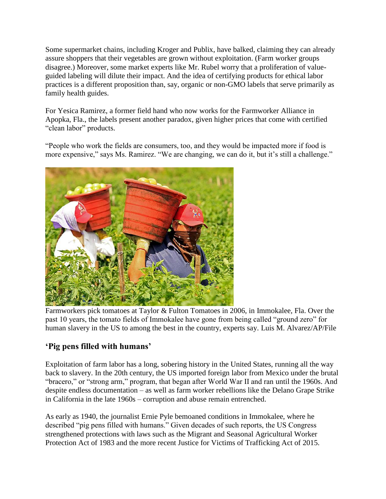Some supermarket chains, including Kroger and Publix, have balked, claiming they can already assure shoppers that their vegetables are grown without exploitation. (Farm worker groups disagree.) Moreover, some market experts like Mr. Rubel worry that a proliferation of valueguided labeling will dilute their impact. And the idea of certifying products for ethical labor practices is a different proposition than, say, organic or non-GMO labels that serve primarily as family health guides.

For Yesica Ramirez, a former field hand who now works for the Farmworker Alliance in Apopka, Fla., the labels present another paradox, given higher prices that come with certified "clean labor" products.

"People who work the fields are consumers, too, and they would be impacted more if food is more expensive," says Ms. Ramirez. "We are changing, we can do it, but it's still a challenge."



Farmworkers pick tomatoes at Taylor & Fulton Tomatoes in 2006, in Immokalee, Fla. Over the past 10 years, the tomato fields of Immokalee have gone from being called "ground zero" for human slavery in the US to among the best in the country, experts say. Luis M. Alvarez/AP/File

## **'Pig pens filled with humans'**

Exploitation of farm labor has a long, sobering history in the United States, running all the way back to slavery. In the 20th century, the US imported foreign labor from Mexico under the brutal "bracero," or "strong arm," program, that began after World War II and ran until the 1960s. And despite endless documentation – as well as farm worker rebellions like the Delano Grape Strike in California in the late 1960s – corruption and abuse remain entrenched.

As early as 1940, the journalist Ernie Pyle bemoaned conditions in Immokalee, where he described "pig pens filled with humans." Given decades of such reports, the US Congress strengthened protections with laws such as the Migrant and Seasonal Agricultural Worker Protection Act of 1983 and the more recent Justice for Victims of Trafficking Act of 2015.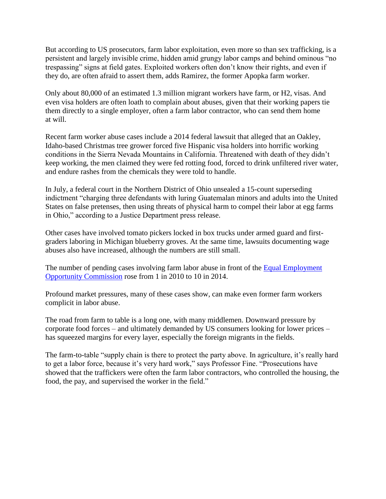But according to US prosecutors, farm labor exploitation, even more so than sex trafficking, is a persistent and largely invisible crime, hidden amid grungy labor camps and behind ominous "no trespassing" signs at field gates. Exploited workers often don't know their rights, and even if they do, are often afraid to assert them, adds Ramirez, the former Apopka farm worker.

Only about 80,000 of an estimated 1.3 million migrant workers have farm, or H2, visas. And even visa holders are often loath to complain about abuses, given that their working papers tie them directly to a single employer, often a farm labor contractor, who can send them home at will.

Recent farm worker abuse cases include a 2014 federal lawsuit that alleged that an Oakley, Idaho-based Christmas tree grower forced five Hispanic visa holders into horrific working conditions in the Sierra Nevada Mountains in California. Threatened with death of they didn't keep working, the men claimed they were fed rotting food, forced to drink unfiltered river water, and endure rashes from the chemicals they were told to handle.

In July, a federal court in the Northern District of Ohio unsealed a 15-count superseding indictment "charging three defendants with luring Guatemalan minors and adults into the United States on false pretenses, then using threats of physical harm to compel their labor at egg farms in Ohio," according to a Justice Department press release.

Other cases have involved tomato pickers locked in box trucks under armed guard and firstgraders laboring in Michigan blueberry groves. At the same time, lawsuits documenting wage abuses also have increased, although the numbers are still small.

The number of pending cases involving farm labor abuse in front of the [Equal Employment](http://www.eeoc.gov/eeoc/litigation/selected/national_origin_immigrant_workers.cfm)  [Opportunity Commission](http://www.eeoc.gov/eeoc/litigation/selected/national_origin_immigrant_workers.cfm) rose from 1 in 2010 to 10 in 2014.

Profound market pressures, many of these cases show, can make even former farm workers complicit in labor abuse.

The road from farm to table is a long one, with many middlemen. Downward pressure by corporate food forces – and ultimately demanded by US consumers looking for lower prices – has squeezed margins for every layer, especially the foreign migrants in the fields.

The farm-to-table "supply chain is there to protect the party above. In agriculture, it's really hard to get a labor force, because it's very hard work," says Professor Fine. "Prosecutions have showed that the traffickers were often the farm labor contractors, who controlled the housing, the food, the pay, and supervised the worker in the field."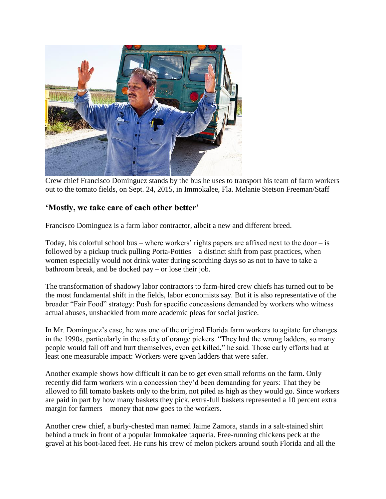

Crew chief Francisco Dominguez stands by the bus he uses to transport his team of farm workers out to the tomato fields, on Sept. 24, 2015, in Immokalee, Fla. Melanie Stetson Freeman/Staff

#### **'Mostly, we take care of each other better'**

Francisco Dominguez is a farm labor contractor, albeit a new and different breed.

Today, his colorful school bus – where workers' rights papers are affixed next to the door – is followed by a pickup truck pulling Porta-Potties – a distinct shift from past practices, when women especially would not drink water during scorching days so as not to have to take a bathroom break, and be docked pay – or lose their job.

The transformation of shadowy labor contractors to farm-hired crew chiefs has turned out to be the most fundamental shift in the fields, labor economists say. But it is also representative of the broader "Fair Food" strategy: Push for specific concessions demanded by workers who witness actual abuses, unshackled from more academic pleas for social justice.

In Mr. Dominguez's case, he was one of the original Florida farm workers to agitate for changes in the 1990s, particularly in the safety of orange pickers. "They had the wrong ladders, so many people would fall off and hurt themselves, even get killed," he said. Those early efforts had at least one measurable impact: Workers were given ladders that were safer.

Another example shows how difficult it can be to get even small reforms on the farm. Only recently did farm workers win a concession they'd been demanding for years: That they be allowed to fill tomato baskets only to the brim, not piled as high as they would go. Since workers are paid in part by how many baskets they pick, extra-full baskets represented a 10 percent extra margin for farmers – money that now goes to the workers.

Another crew chief, a burly-chested man named Jaime Zamora, stands in a salt-stained shirt behind a truck in front of a popular Immokalee taqueria. Free-running chickens peck at the gravel at his boot-laced feet. He runs his crew of melon pickers around south Florida and all the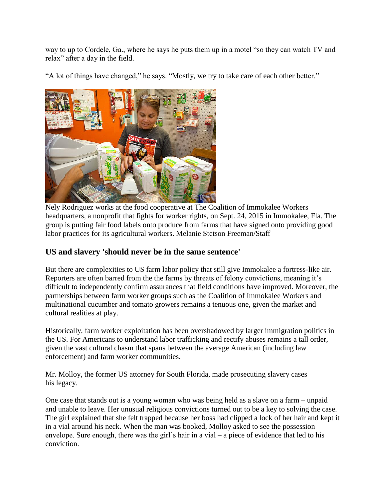way to up to Cordele, Ga., where he says he puts them up in a motel "so they can watch TV and relax" after a day in the field.

"A lot of things have changed," he says. "Mostly, we try to take care of each other better."



Nely Rodriguez works at the food cooperative at The Coalition of Immokalee Workers headquarters, a nonprofit that fights for worker rights, on Sept. 24, 2015 in Immokalee, Fla. The group is putting fair food labels onto produce from farms that have signed onto providing good labor practices for its agricultural workers. Melanie Stetson Freeman/Staff

### **US and slavery 'should never be in the same sentence'**

But there are complexities to US farm labor policy that still give Immokalee a fortress-like air. Reporters are often barred from the the farms by threats of felony convictions, meaning it's difficult to independently confirm assurances that field conditions have improved. Moreover, the partnerships between farm worker groups such as the Coalition of Immokalee Workers and multinational cucumber and tomato growers remains a tenuous one, given the market and cultural realities at play.

Historically, farm worker exploitation has been overshadowed by larger immigration politics in the US. For Americans to understand labor trafficking and rectify abuses remains a tall order, given the vast cultural chasm that spans between the average American (including law enforcement) and farm worker communities.

Mr. Molloy, the former US attorney for South Florida, made prosecuting slavery cases his legacy.

One case that stands out is a young woman who was being held as a slave on a farm – unpaid and unable to leave. Her unusual religious convictions turned out to be a key to solving the case. The girl explained that she felt trapped because her boss had clipped a lock of her hair and kept it in a vial around his neck. When the man was booked, Molloy asked to see the possession envelope. Sure enough, there was the girl's hair in a vial – a piece of evidence that led to his conviction.